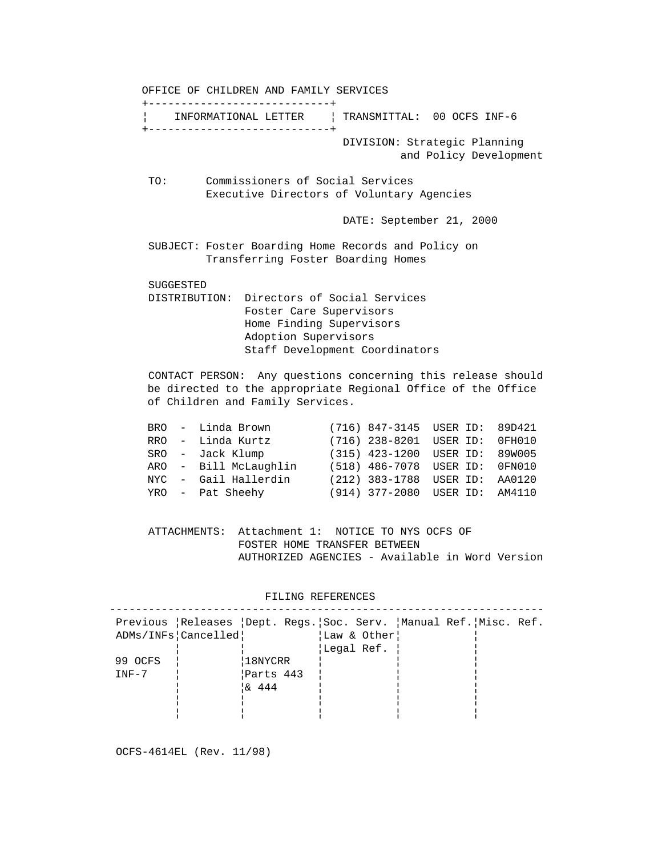OFFICE OF CHILDREN AND FAMILY SERVICES +----------------------------+ ¦ INFORMATIONAL LETTER ¦ TRANSMITTAL: 00 OCFS INF-6 +----------------------------+ DIVISION: Strategic Planning and Policy Development TO: Commissioners of Social Services Executive Directors of Voluntary Agencies DATE: September 21, 2000 SUBJECT: Foster Boarding Home Records and Policy on Transferring Foster Boarding Homes SUGGESTED DISTRIBUTION: Directors of Social Services Foster Care Supervisors Home Finding Supervisors Adoption Supervisors Staff Development Coordinators CONTACT PERSON: Any questions concerning this release should be directed to the appropriate Regional Office of the Office of Children and Family Services.

|  | BRO - Linda Brown     |  | (716) 847-3145 USER ID: 89D421 |  |
|--|-----------------------|--|--------------------------------|--|
|  | RRO - Linda Kurtz     |  | (716) 238-8201 USER ID: 0FH010 |  |
|  | SRO - Jack Klump      |  | (315) 423-1200 USER ID: 89W005 |  |
|  | ARO - Bill McLaughlin |  | (518) 486-7078 USER ID: 0FN010 |  |
|  | NYC - Gail Hallerdin  |  | (212) 383-1788 USER ID: AA0120 |  |
|  | YRO - Pat Sheehy      |  | (914) 377-2080 USER ID: AM4110 |  |
|  |                       |  |                                |  |

 ATTACHMENTS: Attachment 1: NOTICE TO NYS OCFS OF FOSTER HOME TRANSFER BETWEEN AUTHORIZED AGENCIES - Available in Word Version

FILING REFERENCES

|         |                     |                                         |             | Previous Releases Dept. Reqs. Soc. Serv. Manual Ref. Misc. Ref. |  |
|---------|---------------------|-----------------------------------------|-------------|-----------------------------------------------------------------|--|
|         | ADMs/INFs Cancelled |                                         | Law & Other |                                                                 |  |
|         |                     |                                         | Legal Ref.  |                                                                 |  |
| 99 OCFS |                     | 18NYCRR                                 |             |                                                                 |  |
| $INF-7$ |                     | Parts 443                               |             |                                                                 |  |
|         |                     | $\begin{bmatrix} 6 & 444 \end{bmatrix}$ |             |                                                                 |  |
|         |                     |                                         |             |                                                                 |  |
|         |                     |                                         |             |                                                                 |  |
|         |                     |                                         |             |                                                                 |  |

OCFS-4614EL (Rev. 11/98)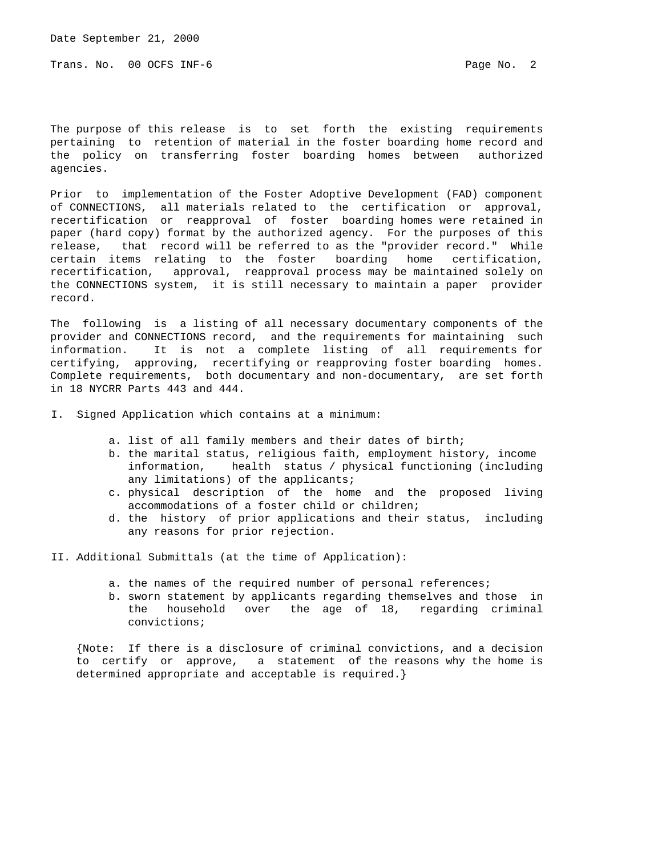Trans. No. 00 OCFS INF-6 **Page No. 2** Page No. 2

The purpose of this release is to set forth the existing requirements pertaining to retention of material in the foster boarding home record and the policy on transferring foster boarding homes between authorized agencies.

Prior to implementation of the Foster Adoptive Development (FAD) component of CONNECTIONS, all materials related to the certification or approval, recertification or reapproval of foster boarding homes were retained in paper (hard copy) format by the authorized agency. For the purposes of this release, that record will be referred to as the "provider record." While certain items relating to the foster boarding home certification, recertification, approval, reapproval process may be maintained solely on the CONNECTIONS system, it is still necessary to maintain a paper provider record.

The following is a listing of all necessary documentary components of the provider and CONNECTIONS record, and the requirements for maintaining such information. It is not a complete listing of all requirements for certifying, approving, recertifying or reapproving foster boarding homes. Complete requirements, both documentary and non-documentary, are set forth in 18 NYCRR Parts 443 and 444.

I. Signed Application which contains at a minimum:

- a. list of all family members and their dates of birth;
- b. the marital status, religious faith, employment history, income information, health status / physical functioning (including any limitations) of the applicants;
- c. physical description of the home and the proposed living accommodations of a foster child or children;
- d. the history of prior applications and their status, including any reasons for prior rejection.

II. Additional Submittals (at the time of Application):

- a. the names of the required number of personal references;
- b. sworn statement by applicants regarding themselves and those in the household over the age of 18, regarding criminal convictions;

 {Note: If there is a disclosure of criminal convictions, and a decision to certify or approve, a statement of the reasons why the home is determined appropriate and acceptable is required.}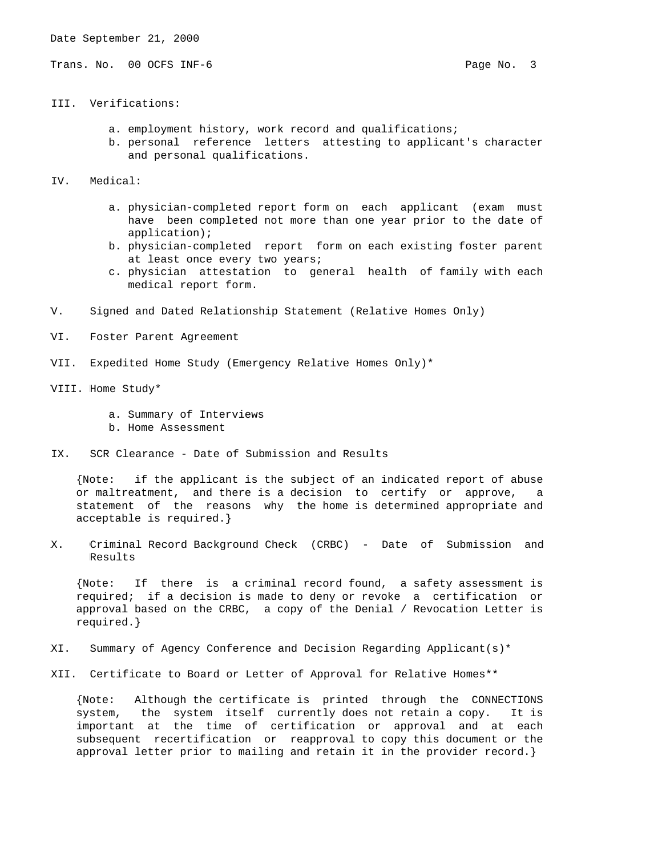Trans. No. 00 OCFS INF-6 **Page No. 3** 

- III. Verifications:
	- a. employment history, work record and qualifications;
	- b. personal reference letters attesting to applicant's character and personal qualifications.
- IV. Medical:
	- a. physician-completed report form on each applicant (exam must have been completed not more than one year prior to the date of application);
	- b. physician-completed report form on each existing foster parent at least once every two years;
	- c. physician attestation to general health of family with each medical report form.
- V. Signed and Dated Relationship Statement (Relative Homes Only)
- VI. Foster Parent Agreement
- VII. Expedited Home Study (Emergency Relative Homes Only)\*
- VIII. Home Study\*
	- a. Summary of Interviews
	- b. Home Assessment
- IX. SCR Clearance Date of Submission and Results

 {Note: if the applicant is the subject of an indicated report of abuse or maltreatment, and there is a decision to certify or approve, statement of the reasons why the home is determined appropriate and acceptable is required.}

X. Criminal Record Background Check (CRBC) - Date of Submission and Results

 {Note: If there is a criminal record found, a safety assessment is required; if a decision is made to deny or revoke a certification or approval based on the CRBC, a copy of the Denial / Revocation Letter is required.}

- XI. Summary of Agency Conference and Decision Regarding Applicant(s)\*
- XII. Certificate to Board or Letter of Approval for Relative Homes\*\*

 {Note: Although the certificate is printed through the CONNECTIONS system, the system itself currently does not retain a copy. It is important at the time of certification or approval and at each subsequent recertification or reapproval to copy this document or the approval letter prior to mailing and retain it in the provider record.}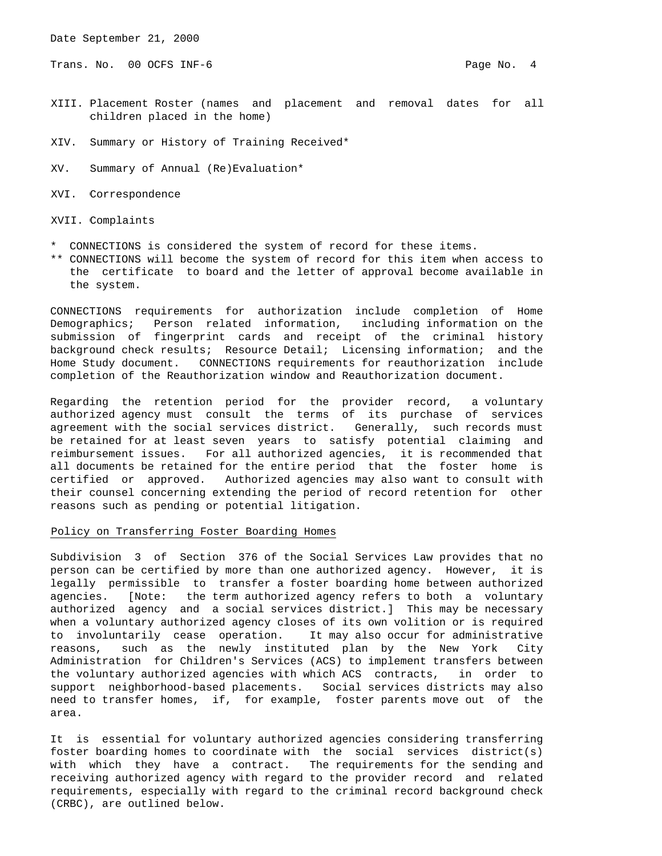Trans. No. 00 OCFS INF-6 **Page No. 4** Page No. 4

- XIII. Placement Roster (names and placement and removal dates for all children placed in the home)
- XIV. Summary or History of Training Received\*

XV. Summary of Annual (Re)Evaluation\*

XVI. Correspondence

XVII. Complaints

- \* CONNECTIONS is considered the system of record for these items.
- \*\* CONNECTIONS will become the system of record for this item when access to the certificate to board and the letter of approval become available in the system.

CONNECTIONS requirements for authorization include completion of Home Demographics; Person related information, including information on the submission of fingerprint cards and receipt of the criminal history background check results; Resource Detail; Licensing information; and the Home Study document. CONNECTIONS requirements for reauthorization include completion of the Reauthorization window and Reauthorization document.

Regarding the retention period for the provider record, a voluntary authorized agency must consult the terms of its purchase of services agreement with the social services district. Generally, such records must be retained for at least seven years to satisfy potential claiming and reimbursement issues. For all authorized agencies, it is recommended that all documents be retained for the entire period that the foster home is certified or approved. Authorized agencies may also want to consult with their counsel concerning extending the period of record retention for other reasons such as pending or potential litigation.

## Policy on Transferring Foster Boarding Homes

Subdivision 3 of Section 376 of the Social Services Law provides that no person can be certified by more than one authorized agency. However, it is legally permissible to transfer a foster boarding home between authorized agencies. [Note: the term authorized agency refers to both a voluntary authorized agency and a social services district.] This may be necessary when a voluntary authorized agency closes of its own volition or is required to involuntarily cease operation. It may also occur for administrative reasons, such as the newly instituted plan by the New York City Administration for Children's Services (ACS) to implement transfers between the voluntary authorized agencies with which ACS contracts, in order to support neighborhood-based placements. Social services districts may also need to transfer homes, if, for example, foster parents move out of the area.

It is essential for voluntary authorized agencies considering transferring foster boarding homes to coordinate with the social services district(s) with which they have a contract. The requirements for the sending and receiving authorized agency with regard to the provider record and related requirements, especially with regard to the criminal record background check (CRBC), are outlined below.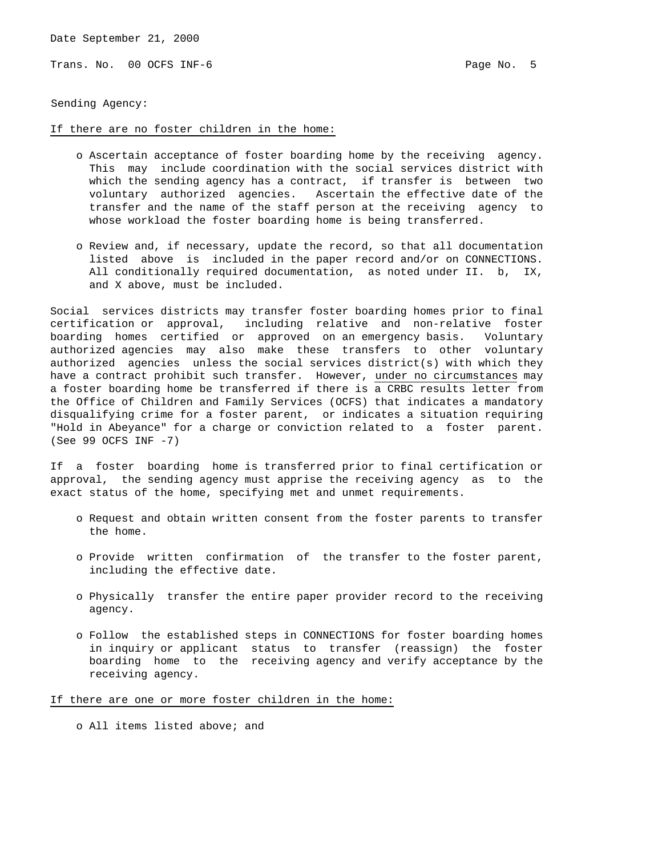Trans. No. 00 OCFS INF-6 **Page No. 5** Page No. 5

Sending Agency:

## If there are no foster children in the home:

- o Ascertain acceptance of foster boarding home by the receiving agency. This may include coordination with the social services district with which the sending agency has a contract, if transfer is between two voluntary authorized agencies. Ascertain the effective date of the transfer and the name of the staff person at the receiving agency to whose workload the foster boarding home is being transferred.
- o Review and, if necessary, update the record, so that all documentation listed above is included in the paper record and/or on CONNECTIONS. All conditionally required documentation, as noted under II. b, IX, and X above, must be included.

Social services districts may transfer foster boarding homes prior to final certification or approval, including relative and non-relative foster boarding homes certified or approved on an emergency basis. Voluntary authorized agencies may also make these transfers to other voluntary authorized agencies unless the social services district(s) with which they have a contract prohibit such transfer. However, under no circumstances may a foster boarding home be transferred if there is a CRBC results letter from the Office of Children and Family Services (OCFS) that indicates a mandatory disqualifying crime for a foster parent, or indicates a situation requiring "Hold in Abeyance" for a charge or conviction related to a foster parent. (See 99 OCFS INF -7)

If a foster boarding home is transferred prior to final certification or approval, the sending agency must apprise the receiving agency as to the exact status of the home, specifying met and unmet requirements.

- o Request and obtain written consent from the foster parents to transfer the home.
- o Provide written confirmation of the transfer to the foster parent, including the effective date.
- o Physically transfer the entire paper provider record to the receiving agency.
- o Follow the established steps in CONNECTIONS for foster boarding homes in inquiry or applicant status to transfer (reassign) the foster boarding home to the receiving agency and verify acceptance by the receiving agency.

If there are one or more foster children in the home:

o All items listed above; and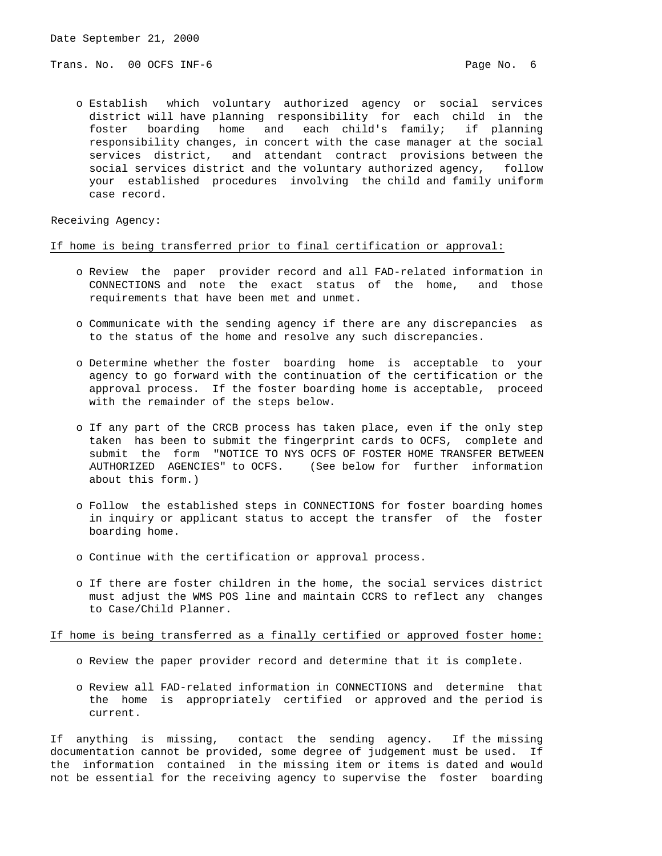Trans. No. 00 OCFS INF-6 **Page No. 6** Page No. 6

 o Establish which voluntary authorized agency or social services district will have planning responsibility for each child in the foster boarding home and each child's family; if planning responsibility changes, in concert with the case manager at the social services district, and attendant contract provisions between the social services district and the voluntary authorized agency, follow your established procedures involving the child and family uniform case record.

Receiving Agency:

## If home is being transferred prior to final certification or approval:

- o Review the paper provider record and all FAD-related information in CONNECTIONS and note the exact status of the home, and those requirements that have been met and unmet.
- o Communicate with the sending agency if there are any discrepancies as to the status of the home and resolve any such discrepancies.
- o Determine whether the foster boarding home is acceptable to your agency to go forward with the continuation of the certification or the approval process. If the foster boarding home is acceptable, proceed with the remainder of the steps below.
- o If any part of the CRCB process has taken place, even if the only step taken has been to submit the fingerprint cards to OCFS, complete and submit the form "NOTICE TO NYS OCFS OF FOSTER HOME TRANSFER BETWEEN AUTHORIZED AGENCIES" to OCFS. (See below for further information about this form.)
- o Follow the established steps in CONNECTIONS for foster boarding homes in inquiry or applicant status to accept the transfer of the foster boarding home.
- o Continue with the certification or approval process.
- o If there are foster children in the home, the social services district must adjust the WMS POS line and maintain CCRS to reflect any changes to Case/Child Planner.

If home is being transferred as a finally certified or approved foster home:

- o Review the paper provider record and determine that it is complete.
- o Review all FAD-related information in CONNECTIONS and determine that the home is appropriately certified or approved and the period is current.

If anything is missing, contact the sending agency. If the missing documentation cannot be provided, some degree of judgement must be used. If the information contained in the missing item or items is dated and would not be essential for the receiving agency to supervise the foster boarding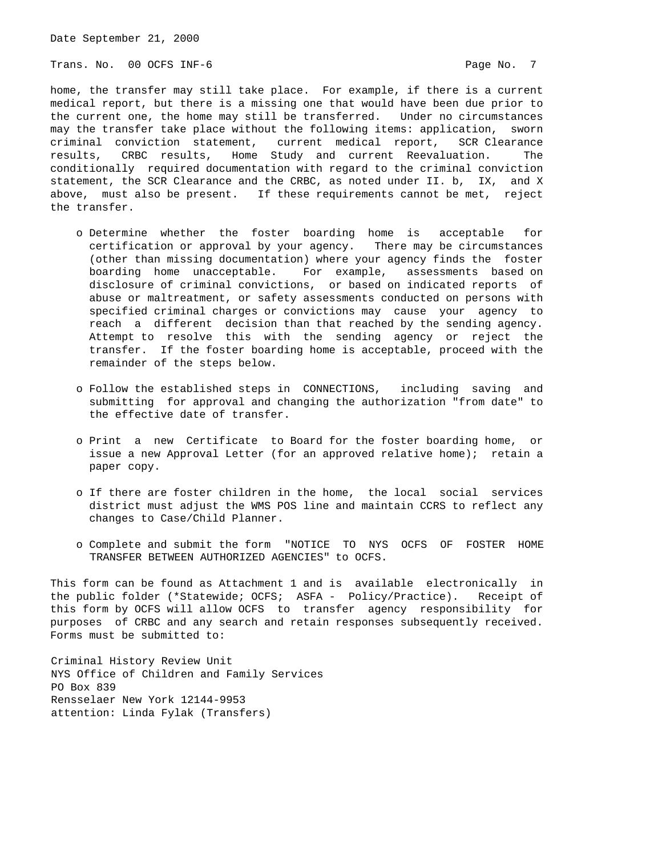Trans. No. 00 OCFS INF-6 **Page No. 7** Page No. 7

home, the transfer may still take place. For example, if there is a current medical report, but there is a missing one that would have been due prior to the current one, the home may still be transferred. Under no circumstances may the transfer take place without the following items: application, sworn criminal conviction statement, current medical report, SCR Clearance results, CRBC results, Home Study and current Reevaluation. The conditionally required documentation with regard to the criminal conviction statement, the SCR Clearance and the CRBC, as noted under II. b, IX, and X above, must also be present. If these requirements cannot be met, reject the transfer.

- o Determine whether the foster boarding home is acceptable for certification or approval by your agency. There may be circumstances (other than missing documentation) where your agency finds the foster boarding home unacceptable. For example, assessments based on disclosure of criminal convictions, or based on indicated reports of abuse or maltreatment, or safety assessments conducted on persons with specified criminal charges or convictions may cause your agency to reach a different decision than that reached by the sending agency. Attempt to resolve this with the sending agency or reject the transfer. If the foster boarding home is acceptable, proceed with the remainder of the steps below.
- o Follow the established steps in CONNECTIONS, including saving and submitting for approval and changing the authorization "from date" to the effective date of transfer.
- o Print a new Certificate to Board for the foster boarding home, or issue a new Approval Letter (for an approved relative home); retain a paper copy.
- o If there are foster children in the home, the local social services district must adjust the WMS POS line and maintain CCRS to reflect any changes to Case/Child Planner.
- o Complete and submit the form "NOTICE TO NYS OCFS OF FOSTER HOME TRANSFER BETWEEN AUTHORIZED AGENCIES" to OCFS.

This form can be found as Attachment 1 and is available electronically in the public folder (\*Statewide; OCFS; ASFA - Policy/Practice). Receipt of this form by OCFS will allow OCFS to transfer agency responsibility for purposes of CRBC and any search and retain responses subsequently received. Forms must be submitted to:

Criminal History Review Unit NYS Office of Children and Family Services PO Box 839 Rensselaer New York 12144-9953 attention: Linda Fylak (Transfers)